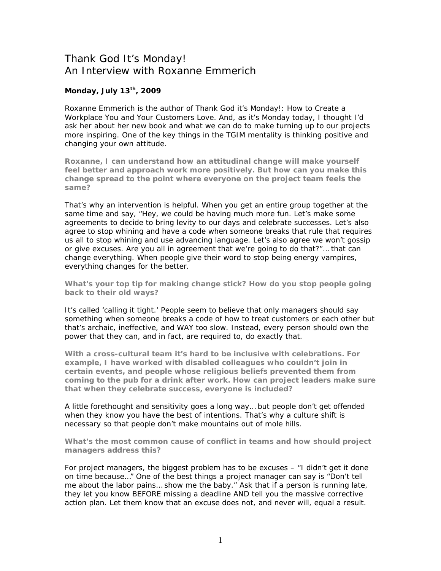## Thank God It's Monday! An Interview with Roxanne Emmerich

## **Monday, July 13th, 2009**

Roxanne Emmerich is the author of *Thank God it's Monday!: How to Create a Workplace You and Your Customers Love.* And, as it's Monday today, I thought I'd ask her about her new book and what we can do to make turning up to our projects more inspiring. One of the key things in the TGIM mentality is thinking positive and changing your own attitude.

**Roxanne, I can understand how an attitudinal change will make yourself feel better and approach work more positively. But how can you make this change spread to the point where everyone on the project team feels the same?** 

That's why an intervention is helpful. When you get an entire group together at the same time and say, "Hey, we could be having much more fun. Let's make some agreements to decide to bring levity to our days and celebrate successes. Let's also agree to stop whining and have a code when someone breaks that rule that requires us all to stop whining and use advancing language. Let's also agree we won't gossip or give excuses. Are you all in agreement that we're going to do that?"… that can change everything. When people give their word to stop being energy vampires, everything changes for the better.

**What's your top tip for making change stick? How do you stop people going back to their old ways?** 

It's called 'calling it tight.' People seem to believe that only managers should say something when someone breaks a code of how to treat customers or each other but that's archaic, ineffective, and WAY too slow. Instead, every person should own the power that they can, and in fact, are required to, do exactly that.

**With a cross-cultural team it's hard to be inclusive with celebrations. For example, I have worked with disabled colleagues who couldn't join in certain events, and people whose religious beliefs prevented them from coming to the pub for a drink after work. How can project leaders make sure that when they celebrate success, everyone is included?** 

A little forethought and sensitivity goes a long way… but people don't get offended when they know you have the best of intentions. That's why a culture shift is necessary so that people don't make mountains out of mole hills.

**What's the most common cause of conflict in teams and how should project managers address this?** 

For project managers, the biggest problem has to be excuses – "I didn't get it done on time because…" One of the best things a project manager can say is "Don't tell me about the labor pains… show me the baby." Ask that if a person is running late, they let you know BEFORE missing a deadline AND tell you the massive corrective action plan. Let them know that an excuse does not, and never will, equal a result.